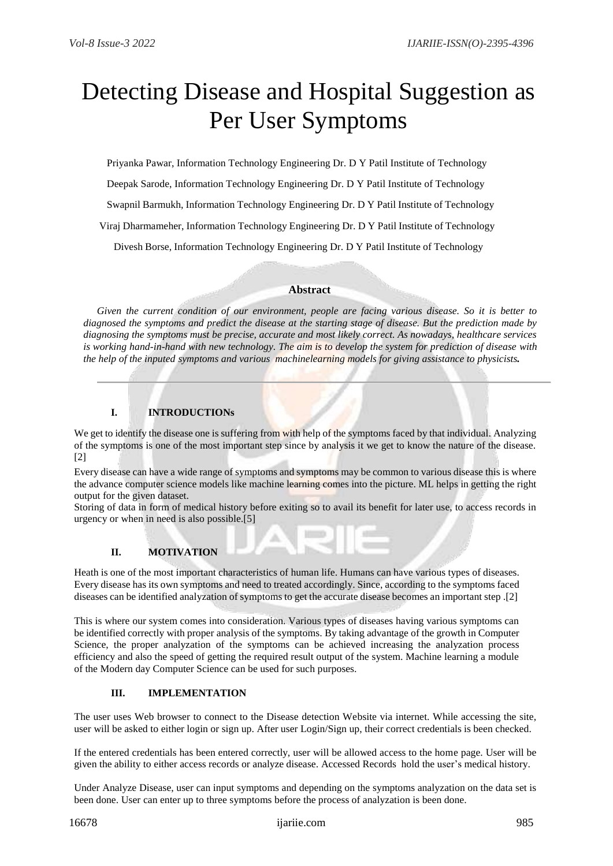# Detecting Disease and Hospital Suggestion as Per User Symptoms

Priyanka Pawar, Information Technology Engineering Dr. D Y Patil Institute of Technology

Deepak Sarode, Information Technology Engineering Dr. D Y Patil Institute of Technology

Swapnil Barmukh, Information Technology Engineering Dr. D Y Patil Institute of Technology

Viraj Dharmameher, Information Technology Engineering Dr. D Y Patil Institute of Technology

Divesh Borse, Information Technology Engineering Dr. D Y Patil Institute of Technology

## **Abstract**

*Given the current condition of our environment, people are facing various disease. So it is better to diagnosed the symptoms and predict the disease at the starting stage of disease. But the prediction made by diagnosing the symptoms must be precise, accurate and most likely correct. As nowadays, healthcare services is working hand-in-hand with new technology. The aim is to develop the system for prediction of disease with the help of the inputed symptoms and various machinelearning models for giving assistance to physicists.*

# **I. INTRODUCTIONs**

We get to identify the disease one is suffering from with help of the symptoms faced by that individual. Analyzing of the symptoms is one of the most important step since by analysis it we get to know the nature of the disease. [2]

Every disease can have a wide range of symptoms and symptoms may be common to various disease this is where the advance computer science models like machine learning comes into the picture. ML helps in getting the right output for the given dataset.

Storing of data in form of medical history before exiting so to avail its benefit for later use, to access records in urgency or when in need is also possible.[5]

## **II. MOTIVATION**

Heath is one of the most important characteristics of human life. Humans can have various types of diseases. Every disease has its own symptoms and need to treated accordingly. Since, according to the symptoms faced diseases can be identified analyzation of symptoms to get the accurate disease becomes an important step .[2]

This is where our system comes into consideration. Various types of diseases having various symptoms can be identified correctly with proper analysis of the symptoms. By taking advantage of the growth in Computer Science, the proper analyzation of the symptoms can be achieved increasing the analyzation process efficiency and also the speed of getting the required result output of the system. Machine learning a module of the Modern day Computer Science can be used for such purposes.

## **III. IMPLEMENTATION**

The user uses Web browser to connect to the Disease detection Website via internet. While accessing the site, user will be asked to either login or sign up. After user Login/Sign up, their correct credentials is been checked.

If the entered credentials has been entered correctly, user will be allowed access to the home page. User will be given the ability to either access records or analyze disease. Accessed Records hold the user's medical history.

Under Analyze Disease, user can input symptoms and depending on the symptoms analyzation on the data set is been done. User can enter up to three symptoms before the process of analyzation is been done.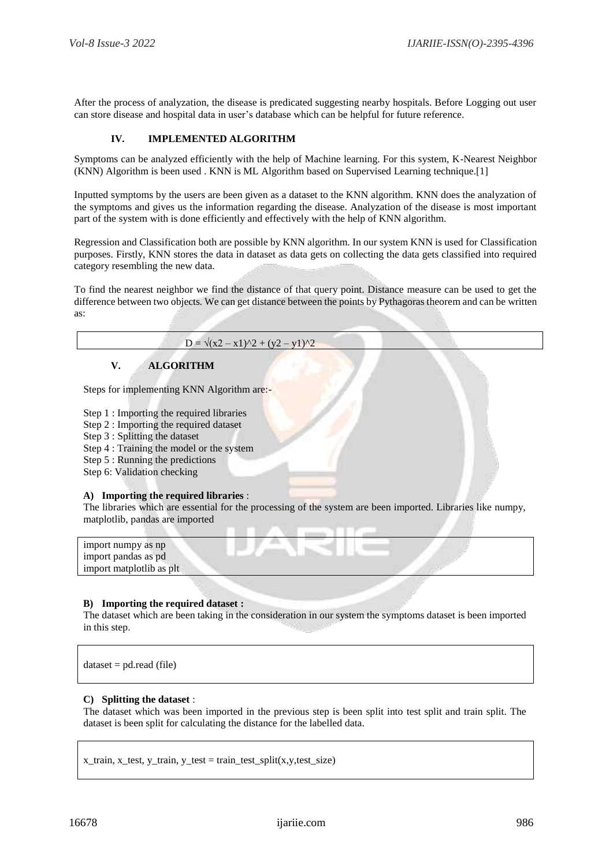After the process of analyzation, the disease is predicated suggesting nearby hospitals. Before Logging out user can store disease and hospital data in user's database which can be helpful for future reference.

## **IV. IMPLEMENTED ALGORITHM**

Symptoms can be analyzed efficiently with the help of Machine learning. For this system, K-Nearest Neighbor (KNN) Algorithm is been used . KNN is ML Algorithm based on Supervised Learning technique.[1]

Inputted symptoms by the users are been given as a dataset to the KNN algorithm. KNN does the analyzation of the symptoms and gives us the information regarding the disease. Analyzation of the disease is most important part of the system with is done efficiently and effectively with the help of KNN algorithm.

Regression and Classification both are possible by KNN algorithm. In our system KNN is used for Classification purposes. Firstly, KNN stores the data in dataset as data gets on collecting the data gets classified into required category resembling the new data.

To find the nearest neighbor we find the distance of that query point. Distance measure can be used to get the difference between two objects. We can get distance between the points by Pythagoras theorem and can be written as:

#### $D = \sqrt{(x^2 - x^2)^2 + (y^2 - y^2)^2}$

#### **V. ALGORITHM**

Steps for implementing KNN Algorithm are:-

- Step 1 : Importing the required libraries
- Step 2 : Importing the required dataset
- Step 3 : Splitting the dataset
- Step 4 : Training the model or the system
- Step 5 : Running the predictions
- Step 6: Validation checking

## **A) Importing the required libraries** :

The libraries which are essential for the processing of the system are been imported. Libraries like numpy, matplotlib, pandas are imported

| import numpy as np       |  |  |
|--------------------------|--|--|
| import pandas as pd      |  |  |
| import matplotlib as plt |  |  |
|                          |  |  |

#### **B) Importing the required dataset :**

The dataset which are been taking in the consideration in our system the symptoms dataset is been imported in this step.

 $dataset = pd.read (file)$ 

#### **C) Splitting the dataset** :

The dataset which was been imported in the previous step is been split into test split and train split. The dataset is been split for calculating the distance for the labelled data.

 $x_train, x_test, y_train, y_test = train_test_split(x,y_test_size)$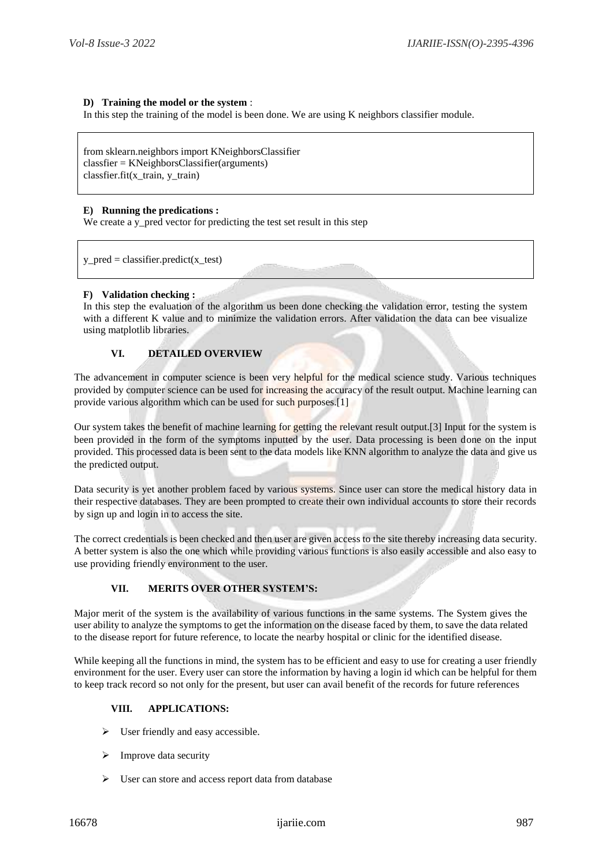## **D) Training the model or the system** :

In this step the training of the model is been done. We are using K neighbors classifier module.

from sklearn.neighbors import KNeighborsClassifier classfier = KNeighborsClassifier(arguments) classfier.fit(x\_train, y\_train)

#### **E) Running the predications :**

We create a y\_pred vector for predicting the test set result in this step

 $y$  pred = classifier.predict(x\_test)

## **F) Validation checking :**

In this step the evaluation of the algorithm us been done checking the validation error, testing the system with a different K value and to minimize the validation errors. After validation the data can bee visualize using matplotlib libraries.

## **VI. DETAILED OVERVIEW**

The advancement in computer science is been very helpful for the medical science study. Various techniques provided by computer science can be used for increasing the accuracy of the result output. Machine learning can provide various algorithm which can be used for such purposes.[1]

Our system takes the benefit of machine learning for getting the relevant result output.[3] Input for the system is been provided in the form of the symptoms inputted by the user. Data processing is been done on the input provided. This processed data is been sent to the data models like KNN algorithm to analyze the data and give us the predicted output.

Data security is yet another problem faced by various systems. Since user can store the medical history data in their respective databases. They are been prompted to create their own individual accounts to store their records by sign up and login in to access the site.

The correct credentials is been checked and then user are given access to the site thereby increasing data security. A better system is also the one which while providing various functions is also easily accessible and also easy to use providing friendly environment to the user.

## **VII. MERITS OVER OTHER SYSTEM'S:**

Major merit of the system is the availability of various functions in the same systems. The System gives the user ability to analyze the symptoms to get the information on the disease faced by them, to save the data related to the disease report for future reference, to locate the nearby hospital or clinic for the identified disease.

While keeping all the functions in mind, the system has to be efficient and easy to use for creating a user friendly environment for the user. Every user can store the information by having a login id which can be helpful for them to keep track record so not only for the present, but user can avail benefit of the records for future references

#### **VIII. APPLICATIONS:**

- $\triangleright$  User friendly and easy accessible.
- Improve data security
- User can store and access report data from database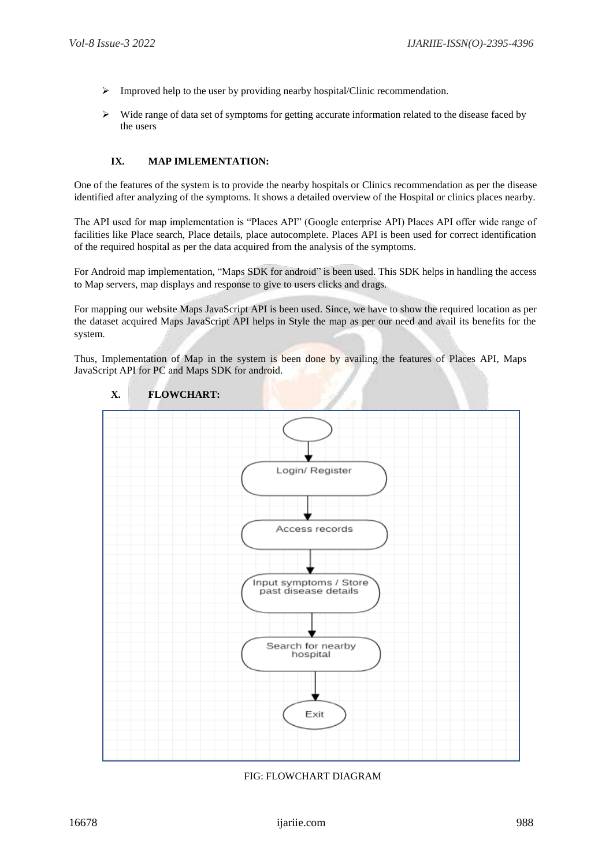- $\triangleright$  Improved help to the user by providing nearby hospital/Clinic recommendation.
- $\triangleright$  Wide range of data set of symptoms for getting accurate information related to the disease faced by the users

## **IX. MAP IMLEMENTATION:**

One of the features of the system is to provide the nearby hospitals or Clinics recommendation as per the disease identified after analyzing of the symptoms. It shows a detailed overview of the Hospital or clinics places nearby.

The API used for map implementation is "Places API" (Google enterprise API) Places API offer wide range of facilities like Place search, Place details, place autocomplete. Places API is been used for correct identification of the required hospital as per the data acquired from the analysis of the symptoms.

For Android map implementation, "Maps SDK for android" is been used. This SDK helps in handling the access to Map servers, map displays and response to give to users clicks and drags.

For mapping our website Maps JavaScript API is been used. Since, we have to show the required location as per the dataset acquired Maps JavaScript API helps in Style the map as per our need and avail its benefits for the system.

Thus, Implementation of Map in the system is been done by availing the features of Places API, Maps JavaScript API for PC and Maps SDK for android.



## **X. FLOWCHART:**

FIG: FLOWCHART DIAGRAM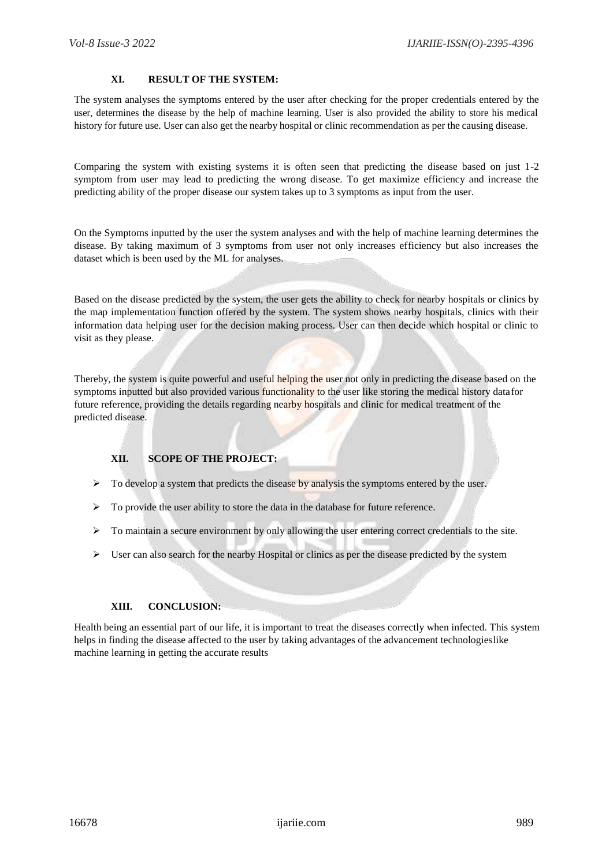#### **XI. RESULT OF THE SYSTEM:**

The system analyses the symptoms entered by the user after checking for the proper credentials entered by the user, determines the disease by the help of machine learning. User is also provided the ability to store his medical history for future use. User can also get the nearby hospital or clinic recommendation as per the causing disease.

Comparing the system with existing systems it is often seen that predicting the disease based on just 1-2 symptom from user may lead to predicting the wrong disease. To get maximize efficiency and increase the predicting ability of the proper disease our system takes up to 3 symptoms as input from the user.

On the Symptoms inputted by the user the system analyses and with the help of machine learning determines the disease. By taking maximum of 3 symptoms from user not only increases efficiency but also increases the dataset which is been used by the ML for analyses.

Based on the disease predicted by the system, the user gets the ability to check for nearby hospitals or clinics by the map implementation function offered by the system. The system shows nearby hospitals, clinics with their information data helping user for the decision making process. User can then decide which hospital or clinic to visit as they please.

Thereby, the system is quite powerful and useful helping the user not only in predicting the disease based on the symptoms inputted but also provided various functionality to the user like storing the medical history data for future reference, providing the details regarding nearby hospitals and clinic for medical treatment of the predicted disease.

## **XII. SCOPE OF THE PROJECT:**

- $\triangleright$  To develop a system that predicts the disease by analysis the symptoms entered by the user.
- $\triangleright$  To provide the user ability to store the data in the database for future reference.
- $\triangleright$  To maintain a secure environment by only allowing the user entering correct credentials to the site.
- $\triangleright$  User can also search for the nearby Hospital or clinics as per the disease predicted by the system

#### **XIII. CONCLUSION:**

Health being an essential part of our life, it is important to treat the diseases correctly when infected. This system helps in finding the disease affected to the user by taking advantages of the advancement technologieslike machine learning in getting the accurate results